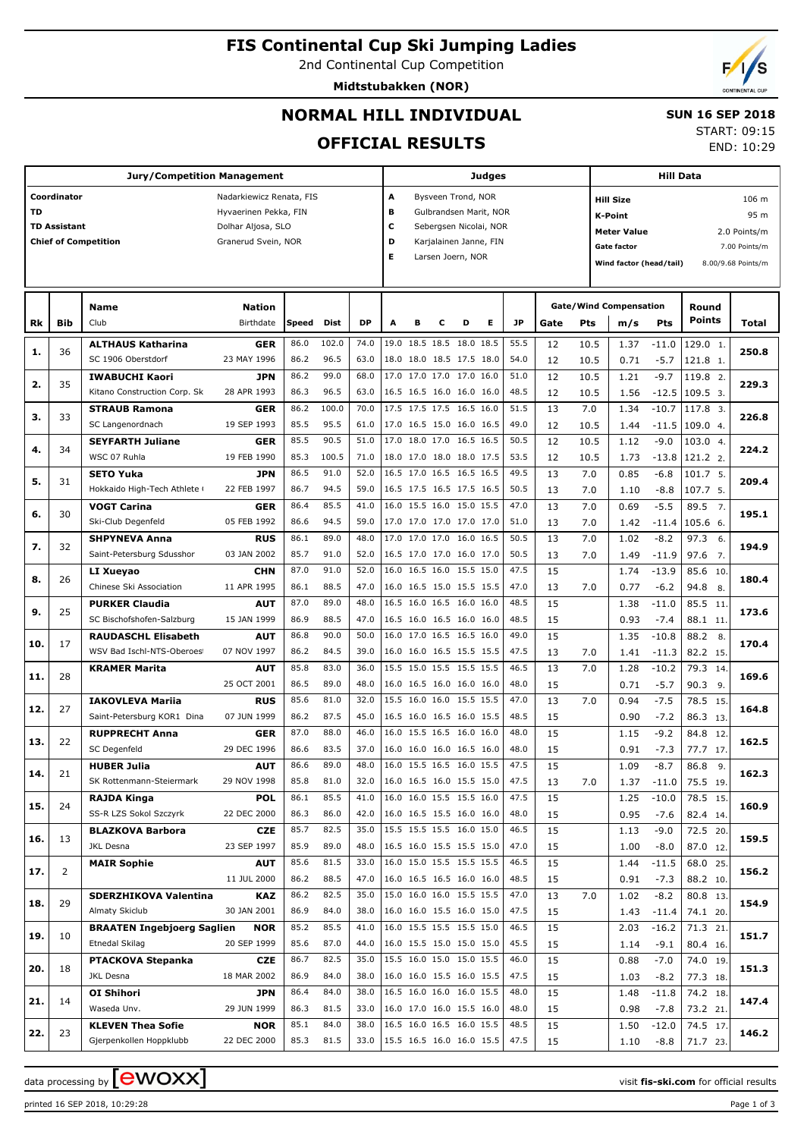2nd Continental Cup Competition

**Midtstubakken (NOR)**



## **NORMAL HILL INDIVIDUAL**

 **SUN 16 SEP 2018** START: 09:15

END: 10:29

## **OFFICIAL RESULTS**

|     |                     | <b>Jury/Competition Management</b> |                          |       |       |           |                          |                         |   |                          | Judges |      |      |      |                               | <b>Hill Data</b> |               |                    |  |  |  |  |
|-----|---------------------|------------------------------------|--------------------------|-------|-------|-----------|--------------------------|-------------------------|---|--------------------------|--------|------|------|------|-------------------------------|------------------|---------------|--------------------|--|--|--|--|
|     | Coordinator         |                                    | Nadarkiewicz Renata, FIS |       |       |           | A                        |                         |   | Bysveen Trond, NOR       |        |      |      |      | <b>Hill Size</b>              |                  |               | 106 m              |  |  |  |  |
| TD  |                     |                                    | Hyvaerinen Pekka, FIN    |       |       |           | в                        |                         |   | Gulbrandsen Marit, NOR   |        |      |      |      | K-Point                       |                  |               | 95 m               |  |  |  |  |
|     | <b>TD Assistant</b> |                                    | Dolhar Aljosa, SLO       |       |       |           | c                        |                         |   | Sebergsen Nicolai, NOR   |        |      |      |      | <b>Meter Value</b>            |                  |               | 2.0 Points/m       |  |  |  |  |
|     |                     | <b>Chief of Competition</b>        | Granerud Svein, NOR      |       |       |           | D                        |                         |   | Karjalainen Janne, FIN   |        |      |      |      | Gate factor                   |                  | 7.00 Points/m |                    |  |  |  |  |
|     |                     |                                    |                          |       |       |           | Е                        |                         |   | Larsen Joern, NOR        |        |      |      |      |                               |                  |               | 8.00/9.68 Points/m |  |  |  |  |
|     |                     |                                    |                          |       |       |           |                          | Wind factor (head/tail) |   |                          |        |      |      |      |                               |                  |               |                    |  |  |  |  |
|     |                     |                                    |                          |       |       |           |                          |                         |   |                          |        |      |      |      |                               |                  |               |                    |  |  |  |  |
|     |                     | <b>Name</b>                        | <b>Nation</b>            |       |       |           |                          |                         |   |                          |        |      |      |      | <b>Gate/Wind Compensation</b> |                  | Round         |                    |  |  |  |  |
| Rk  | <b>Bib</b>          | Club                               | Birthdate                | Speed | Dist  | <b>DP</b> | A                        | в                       | с | D                        | Е      | JP   | Gate | Pts  | m/s                           | <b>Pts</b>       | <b>Points</b> | Total              |  |  |  |  |
|     |                     |                                    |                          |       | 102.0 |           |                          |                         |   | 19.0 18.5 18.5 18.0 18.5 |        | 55.5 |      |      |                               |                  |               |                    |  |  |  |  |
| 1.  | 36                  | <b>ALTHAUS Katharina</b>           | <b>GER</b>               | 86.0  |       | 74.0      |                          |                         |   | 18.0 18.0 18.5 17.5 18.0 |        |      | 12   | 10.5 | 1.37                          | $-11.0$          | 129.0 1.      | 250.8              |  |  |  |  |
|     |                     | SC 1906 Oberstdorf                 | 23 MAY 1996              | 86.2  | 96.5  | 63.0      |                          |                         |   |                          |        | 54.0 | 12   | 10.5 | 0.71                          | $-5.7$           | 121.8 1.      |                    |  |  |  |  |
| 2.  | 35                  | <b>IWABUCHI Kaori</b>              | <b>JPN</b>               | 86.2  | 99.0  | 68.0      |                          |                         |   | 17.0 17.0 17.0 17.0 16.0 |        | 51.0 | 12   | 10.5 | 1.21                          | $-9.7$           | 119.8 2.      | 229.3              |  |  |  |  |
|     |                     | Kitano Construction Corp. Sk       | 28 APR 1993              | 86.3  | 96.5  | 63.0      |                          |                         |   | 16.5 16.5 16.0 16.0 16.0 |        | 48.5 | 12   | 10.5 | 1.56                          | $-12.5$          | 109.5 3.      |                    |  |  |  |  |
| з.  | 33                  | <b>STRAUB Ramona</b>               | <b>GER</b>               | 86.2  | 100.0 | 70.0      |                          |                         |   | 17.5 17.5 17.5 16.5 16.0 |        | 51.5 | 13   | 7.0  | 1.34                          | $-10.7$          | 117.8 3.      | 226.8              |  |  |  |  |
|     |                     | SC Langenordnach                   | 19 SEP 1993              | 85.5  | 95.5  | 61.0      |                          |                         |   | 17.0 16.5 15.0 16.0 16.5 |        | 49.0 | 12   | 10.5 | 1.44                          | $-11.5$          | 109.04        |                    |  |  |  |  |
| 4.  | 34                  | <b>SEYFARTH Juliane</b>            | <b>GER</b>               | 85.5  | 90.5  | 51.0      |                          |                         |   | 17.0 18.0 17.0 16.5 16.5 |        | 50.5 | 12   | 10.5 | 1.12                          | $-9.0$           | 103.0 4.      | 224.2              |  |  |  |  |
|     |                     | WSC 07 Ruhla                       | 19 FEB 1990              | 85.3  | 100.5 | 71.0      |                          |                         |   | 18.0 17.0 18.0 18.0 17.5 |        | 53.5 | 12   | 10.5 | 1.73                          | $-13.8$          | 121.2 2.      |                    |  |  |  |  |
| 5.  | 31                  | <b>SETO Yuka</b>                   | <b>JPN</b>               | 86.5  | 91.0  | 52.0      |                          |                         |   | 16.5 17.0 16.5 16.5 16.5 |        | 49.5 | 13   | 7.0  | 0.85                          | $-6.8$           | 101.7 5.      | 209.4              |  |  |  |  |
|     |                     | Hokkaido High-Tech Athlete (       | 22 FEB 1997              | 86.7  | 94.5  | 59.0      |                          |                         |   | 16.5 17.5 16.5 17.5 16.5 |        | 50.5 | 13   | 7.0  | 1.10                          | $-8.8$           | 107.7 5.      |                    |  |  |  |  |
| 6.  | 30                  | <b>VOGT Carina</b>                 | <b>GER</b>               | 86.4  | 85.5  | 41.0      |                          |                         |   | 16.0 15.5 16.0 15.0 15.5 |        | 47.0 | 13   | 7.0  | 0.69                          | $-5.5$           | 89.5<br>7.    | 195.1              |  |  |  |  |
|     |                     | Ski-Club Degenfeld                 | 05 FEB 1992              | 86.6  | 94.5  | 59.0      |                          |                         |   | 17.0 17.0 17.0 17.0 17.0 |        | 51.0 | 13   | 7.0  | 1.42                          | $-11.4$          | 105.6 6.      |                    |  |  |  |  |
| 7.  | 32                  | <b>SHPYNEVA Anna</b>               | <b>RUS</b>               | 86.1  | 89.0  | 48.0      |                          |                         |   | 17.0 17.0 17.0 16.0 16.5 |        | 50.5 | 13   | 7.0  | 1.02                          | $-8.2$           | 97.3<br>6.    | 194.9              |  |  |  |  |
|     |                     | Saint-Petersburg Sdusshor          | 03 JAN 2002              | 85.7  | 91.0  | 52.0      |                          |                         |   | 16.5 17.0 17.0 16.0 17.0 |        | 50.5 | 13   | 7.0  | 1.49                          | $-11.9$          | 97.6<br>7.    |                    |  |  |  |  |
| 8.  | 26                  | LI Xueyao                          | <b>CHN</b>               | 87.0  | 91.0  | 52.0      |                          |                         |   | 16.0 16.5 16.0 15.5 15.0 |        | 47.5 | 15   |      | 1.74                          | $-13.9$          | 85.6<br>10.   | 180.4              |  |  |  |  |
|     |                     | Chinese Ski Association            | 11 APR 1995              | 86.1  | 88.5  | 47.0      |                          |                         |   | 16.0 16.5 15.0 15.5 15.5 |        | 47.0 | 13   | 7.0  | 0.77                          | $-6.2$           | 94.8 8.       |                    |  |  |  |  |
|     |                     | <b>PURKER Claudia</b>              | <b>AUT</b>               | 87.0  | 89.0  | 48.0      |                          |                         |   | 16.5 16.0 16.5 16.0 16.0 |        | 48.5 | 15   |      | 1.38                          | $-11.0$          | 85.5 11       |                    |  |  |  |  |
| 9.  | 25                  | SC Bischofshofen-Salzburg          | 15 JAN 1999              | 86.9  | 88.5  | 47.0      |                          |                         |   | 16.5 16.0 16.5 16.0 16.0 |        | 48.5 | 15   |      | 0.93                          | $-7.4$           | 88.1 11.      | 173.6              |  |  |  |  |
|     |                     | <b>RAUDASCHL Elisabeth</b>         | <b>AUT</b>               | 86.8  | 90.0  | 50.0      |                          |                         |   | 16.0 17.0 16.5 16.5 16.0 |        | 49.0 | 15   |      | 1.35                          | $-10.8$          | 88.2<br>8.    |                    |  |  |  |  |
| 10. | 17                  | WSV Bad Ischl-NTS-Oberoes          | 07 NOV 1997              | 86.2  | 84.5  | 39.0      |                          |                         |   | 16.0 16.0 16.5 15.5 15.5 |        | 47.5 | 13   | 7.0  | 1.41                          | $-11.3$          | 82.2 15.      | 170.4              |  |  |  |  |
|     |                     | <b>KRAMER Marita</b>               | <b>AUT</b>               | 85.8  | 83.0  | 36.0      |                          |                         |   | 15.5 15.0 15.5 15.5 15.5 |        | 46.5 | 13   | 7.0  | 1.28                          | $-10.2$          | 79.3 14.      |                    |  |  |  |  |
| 11. | 28                  |                                    | 25 OCT 2001              | 86.5  | 89.0  | 48.0      |                          |                         |   | 16.0 16.5 16.0 16.0 16.0 |        | 48.0 | 15   |      | 0.71                          | $-5.7$           | 90.3 9.       | 169.6              |  |  |  |  |
|     |                     | <b>IAKOVLEVA Mariia</b>            | <b>RUS</b>               | 85.6  | 81.0  | 32.0      |                          |                         |   | 15.5 16.0 16.0 15.5 15.5 |        | 47.0 | 13   | 7.0  | 0.94                          | $-7.5$           | 78.5 15.      |                    |  |  |  |  |
| 12. | 27                  | Saint-Petersburg KOR1 Dina         | 07 JUN 1999              | 86.2  | 87.5  | 45.0      |                          |                         |   | 16.5 16.0 16.5 16.0 15.5 |        | 48.5 | 15   |      | 0.90                          | $-7.2$           | 86.3 13.      | 164.8              |  |  |  |  |
|     |                     | <b>RUPPRECHT Anna</b>              | GER                      | 87.0  | 88.0  | 46.0      |                          |                         |   | 16.0 15.5 16.5 16.0 16.0 |        | 48.0 | 15   |      | 1.15                          | $-9.2$           | 84.8<br>12.   |                    |  |  |  |  |
| 13. | 22                  | SC Degenfeld                       | 29 DEC 1996              | 86.6  | 83.5  | 37.0      |                          |                         |   | 16.0 16.0 16.0 16.5 16.0 |        | 48.0 | 15   |      | 0.91                          | $-7.3$           | 77.7 17.      | 162.5              |  |  |  |  |
|     |                     | <b>HUBER Julia</b>                 | <b>AUT</b>               | 86.6  | 89.0  | 48.0      |                          |                         |   | 16.0 15.5 16.5 16.0 15.5 |        | 47.5 | 15   |      | 1.09                          | $-8.7$           | 86.8<br>9.    |                    |  |  |  |  |
| 14. | 21                  | SK Rottenmann-Steiermark           | 29 NOV 1998              | 85.8  | 81.0  | 32.0      | 16.0 16.5 16.0 15.5 15.0 |                         |   |                          |        | 47.5 | 13   | 7.0  | 1.37                          | $-11.0$          | 75.5 19.      | 162.3              |  |  |  |  |
|     |                     | <b>RAJDA Kinga</b>                 | <b>POL</b>               | 86.1  | 85.5  | 41.0      |                          |                         |   | 16.0 16.0 15.5 15.5 16.0 |        | 47.5 | 15   |      | 1.25                          | $-10.0$          | 78.5 15.      |                    |  |  |  |  |
| 15. | 24                  | SS-R LZS Sokol Szczyrk             | 22 DEC 2000              | 86.3  | 86.0  | 42.0      |                          |                         |   | 16.0 16.5 15.5 16.0 16.0 |        | 48.0 | 15   |      | 0.95                          | $-7.6$           | 82.4 14.      | 160.9              |  |  |  |  |
|     |                     | <b>BLAZKOVA Barbora</b>            | CZE                      | 85.7  | 82.5  | 35.0      |                          |                         |   | 15.5 15.5 15.5 16.0 15.0 |        | 46.5 | 15   |      | 1.13                          | $-9.0$           | 72.5 20.      |                    |  |  |  |  |
| 16. | 13                  | JKL Desna                          | 23 SEP 1997              | 85.9  | 89.0  | 48.0      |                          |                         |   | 16.5 16.0 15.5 15.5 15.0 |        | 47.0 | 15   |      | 1.00                          | $-8.0$           | 87.0 12.      | 159.5              |  |  |  |  |
|     |                     | <b>MAIR Sophie</b>                 | <b>AUT</b>               | 85.6  | 81.5  | 33.0      |                          |                         |   | 16.0 15.0 15.5 15.5 15.5 |        | 46.5 | 15   |      | 1.44                          | $-11.5$          | 68.0 25.      |                    |  |  |  |  |
| 17. | 2                   |                                    | 11 JUL 2000              | 86.2  | 88.5  | 47.0      |                          |                         |   | 16.0 16.5 16.5 16.0 16.0 |        | 48.5 | 15   |      | 0.91                          | $-7.3$           | 88.2 10.      | 156.2              |  |  |  |  |
|     |                     | SDERZHIKOVA Valentina              | KAZ                      | 86.2  | 82.5  | 35.0      |                          |                         |   | 15.0 16.0 16.0 15.5 15.5 |        | 47.0 | 13   | 7.0  | 1.02                          | $-8.2$           | 80.8 13.      |                    |  |  |  |  |
| 18. | 29                  | Almaty Skiclub                     | 30 JAN 2001              | 86.9  | 84.0  | 38.0      |                          |                         |   | 16.0 16.0 15.5 16.0 15.0 |        | 47.5 | 15   |      | 1.43                          | $-11.4$          | 74.1 20.      | 154.9              |  |  |  |  |
|     |                     | <b>BRAATEN Ingebjoerg Saglien</b>  | <b>NOR</b>               | 85.2  | 85.5  | 41.0      |                          |                         |   | 16.0 15.5 15.5 15.5 15.0 |        | 46.5 | 15   |      | 2.03                          | $-16.2$          | 71.3 21.      |                    |  |  |  |  |
| 19. | 10                  | <b>Etnedal Skilag</b>              | 20 SEP 1999              | 85.6  | 87.0  | 44.0      |                          |                         |   | 16.0 15.5 15.0 15.0 15.0 |        | 45.5 | 15   |      | 1.14                          | $-9.1$           | 80.4 16.      | 151.7              |  |  |  |  |
|     |                     | <b>PTACKOVA Stepanka</b>           | CZE                      | 86.7  | 82.5  | 35.0      |                          |                         |   | 15.5 16.0 15.0 15.0 15.5 |        | 46.0 | 15   |      | 0.88                          | $-7.0$           | 74.0 19.      |                    |  |  |  |  |
| 20. | 18                  | JKL Desna                          | 18 MAR 2002              | 86.9  | 84.0  | 38.0      |                          |                         |   | 16.0 16.0 15.5 16.0 15.5 |        | 47.5 | 15   |      | 1.03                          | $-8.2$           | 77.3 18.      | 151.3              |  |  |  |  |
|     |                     | <b>OI Shihori</b>                  | JPN                      | 86.4  | 84.0  | 38.0      |                          |                         |   | 16.5 16.0 16.0 16.0 15.5 |        | 48.0 | 15   |      | 1.48                          | $-11.8$          | 74.2 18.      |                    |  |  |  |  |
| 21. | 14                  | Waseda Unv.                        | 29 JUN 1999              | 86.3  | 81.5  | 33.0      |                          |                         |   | 16.0 17.0 16.0 15.5 16.0 |        | 48.0 | 15   |      | 0.98                          | $-7.8$           | 73.2 21.      | 147.4              |  |  |  |  |
|     |                     | <b>KLEVEN Thea Sofie</b>           | <b>NOR</b>               | 85.1  | 84.0  | 38.0      |                          |                         |   | 16.5 16.0 16.5 16.0 15.5 |        | 48.5 | 15   |      | 1.50                          | $-12.0$          | 74.5 17.      |                    |  |  |  |  |
| 22. | 23                  | Gjerpenkollen Hoppklubb            | 22 DEC 2000              | 85.3  | 81.5  | 33.0      | 15.5 16.5 16.0 16.0 15.5 |                         |   |                          |        | 47.5 | 15   |      | 1.10                          | $-8.8$           | 71.7 23.      | 146.2              |  |  |  |  |
|     |                     |                                    |                          |       |       |           |                          |                         |   |                          |        |      |      |      |                               |                  |               |                    |  |  |  |  |

printed 16 SEP 2018, 10:29:28 Page 1 of 3

data processing by  $\boxed{\text{ewOX}}$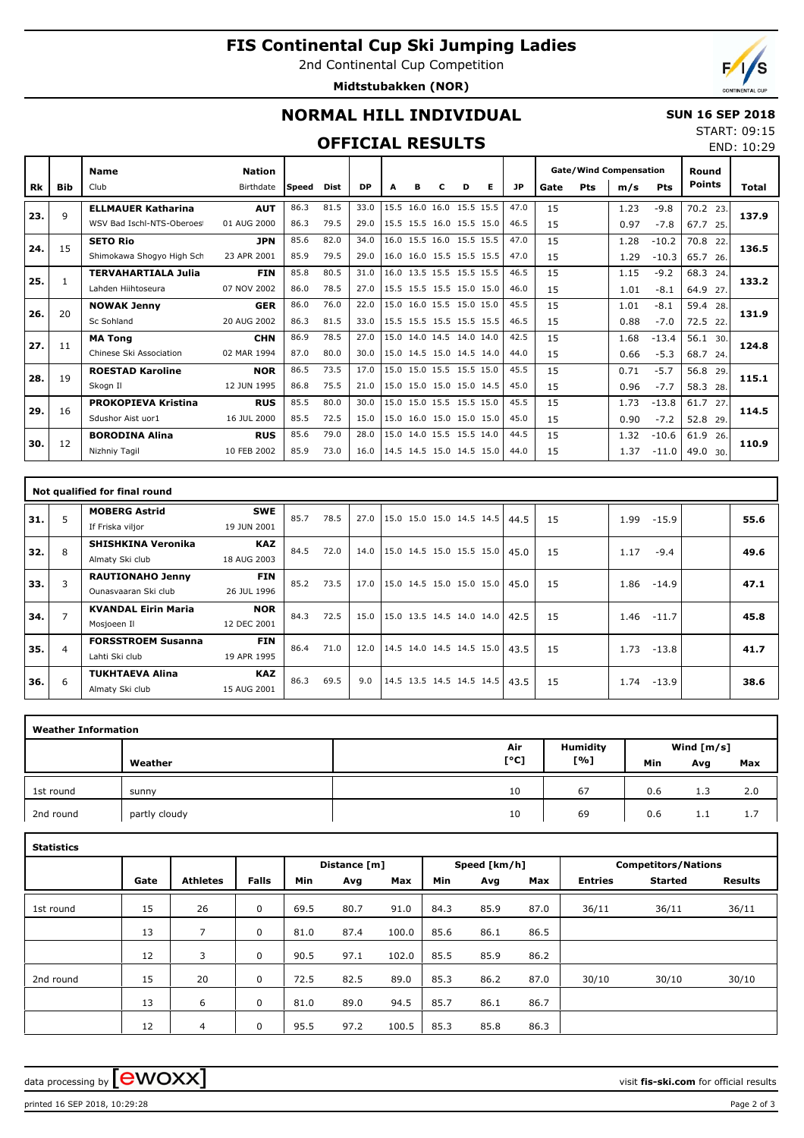# **FIS Continental Cup Ski Jumping Ladies**

2nd Continental Cup Competition

**Midtstubakken (NOR)**



END: 10:29

## **NORMAL HILL INDIVIDUAL**

#### **SUN 16 SEP 2018** START: 09:15

### **OFFICIAL RESULTS**

|     |     | <b>Name</b>                | <b>Nation</b> |       |      |           |      |   |   |                          |   |      |      |     | <b>Gate/Wind Compensation</b> |            | Round         |       |
|-----|-----|----------------------------|---------------|-------|------|-----------|------|---|---|--------------------------|---|------|------|-----|-------------------------------|------------|---------------|-------|
| Rk  | Bib | Club                       | Birthdate     | Speed | Dist | <b>DP</b> | A    | в | c | D                        | Е | JP   | Gate | Pts | m/s                           | <b>Pts</b> | <b>Points</b> | Total |
| 23. | 9   | <b>ELLMAUER Katharina</b>  | <b>AUT</b>    | 86.3  | 81.5 | 33.0      | 15.5 |   |   | 16.0 16.0 15.5 15.5      |   | 47.0 | 15   |     | 1.23                          | $-9.8$     | 70.2<br>23.   | 137.9 |
|     |     | WSV Bad Ischl-NTS-Oberoes  | 01 AUG 2000   | 86.3  | 79.5 | 29.0      |      |   |   | 15.5 15.5 16.0 15.5 15.0 |   | 46.5 | 15   |     | 0.97                          | $-7.8$     | 67.7<br>25.   |       |
| 24. | 15  | <b>SETO Rio</b>            | <b>JPN</b>    | 85.6  | 82.0 | 34.0      |      |   |   | 16.0 15.5 16.0 15.5 15.5 |   | 47.0 | 15   |     | 1.28                          | $-10.2$    | 70.8<br>22.   | 136.5 |
|     |     | Shimokawa Shogyo High Sch  | 23 APR 2001   | 85.9  | 79.5 | 29.0      |      |   |   | 16.0 16.0 15.5 15.5 15.5 |   | 47.0 | 15   |     | 1.29                          | $-10.3$    | 65.7<br>26.   |       |
| 25. | 1   | <b>TERVAHARTIALA Julia</b> | <b>FIN</b>    | 85.8  | 80.5 | 31.0      | 16.0 |   |   | 13.5 15.5 15.5 15.5      |   | 46.5 | 15   |     | 1.15                          | $-9.2$     | 68.3<br>24.   | 133.2 |
|     |     | Lahden Hiihtoseura         | 07 NOV 2002   | 86.0  | 78.5 | 27.0      |      |   |   | 15.5 15.5 15.5 15.0 15.0 |   | 46.0 | 15   |     | 1.01                          | $-8.1$     | 64.9<br>27.   |       |
| 26. | 20  | <b>NOWAK Jenny</b>         | <b>GER</b>    | 86.0  | 76.0 | 22.0      | 15.0 |   |   | 16.0 15.5 15.0 15.0      |   | 45.5 | 15   |     | 1.01                          | $-8.1$     | 59.4<br>28.   | 131.9 |
|     |     | Sc Sohland                 | 20 AUG 2002   | 86.3  | 81.5 | 33.0      |      |   |   | 15.5 15.5 15.5 15.5 15.5 |   | 46.5 | 15   |     | 0.88                          | $-7.0$     | 72.5<br>22.   |       |
| 27. | 11  | <b>MA Tong</b>             | <b>CHN</b>    | 86.9  | 78.5 | 27.0      |      |   |   | 15.0 14.0 14.5 14.0 14.0 |   | 42.5 | 15   |     | 1.68                          | $-13.4$    | 56.1<br>30.   | 124.8 |
|     |     | Chinese Ski Association    | 02 MAR 1994   | 87.0  | 80.0 | 30.0      |      |   |   | 15.0 14.5 15.0 14.5 14.0 |   | 44.0 | 15   |     | 0.66                          | $-5.3$     | 68.7<br>24.   |       |
| 28. | 19  | <b>ROESTAD Karoline</b>    | <b>NOR</b>    | 86.5  | 73.5 | 17.0      |      |   |   | 15.0 15.0 15.5 15.5 15.0 |   | 45.5 | 15   |     | 0.71                          | $-5.7$     | 56.8<br>29.   | 115.1 |
|     |     | Skogn II                   | 12 JUN 1995   | 86.8  | 75.5 | 21.0      |      |   |   | 15.0 15.0 15.0 15.0 14.5 |   | 45.0 | 15   |     | 0.96                          | $-7.7$     | 58.3<br>28.   |       |
| 29. | 16  | <b>PROKOPIEVA Kristina</b> | <b>RUS</b>    | 85.5  | 80.0 | 30.0      |      |   |   | 15.0 15.0 15.5 15.5 15.0 |   | 45.5 | 15   |     | 1.73                          | $-13.8$    | 61.7<br>27    | 114.5 |
|     |     | Sdushor Aist uor1          | 16 JUL 2000   | 85.5  | 72.5 | 15.0      |      |   |   | 15.0 16.0 15.0 15.0 15.0 |   | 45.0 | 15   |     | 0.90                          | $-7.2$     | 52.8<br>29.   |       |
| 30. | 12  | <b>BORODINA Alina</b>      | <b>RUS</b>    | 85.6  | 79.0 | 28.0      | 15.0 |   |   | 14.0 15.5 15.5 14.0      |   | 44.5 | 15   |     | 1.32                          | $-10.6$    | 61.9<br>26.   | 110.9 |
|     |     | Nizhniy Tagil              | 10 FEB 2002   | 85.9  | 73.0 | 16.0      |      |   |   | 14.5 14.5 15.0 14.5 15.0 |   | 44.0 | 15   |     | 1.37                          | $-11.0$    | 49.0 30.      |       |

|     |                | Not qualified for final round                   |                           |      |      |      |                                      |  |      |    |                 |      |
|-----|----------------|-------------------------------------------------|---------------------------|------|------|------|--------------------------------------|--|------|----|-----------------|------|
| 31. | 5              | <b>MOBERG Astrid</b><br>If Friska viljor        | <b>SWE</b><br>19 JUN 2001 | 85.7 | 78.5 | 27.0 | $ 15.0 \t15.0 \t15.0 \t14.5 \t14.5 $ |  | 44.5 | 15 | $-15.9$<br>1.99 | 55.6 |
| 32. | 8              | <b>SHISHKINA Veronika</b><br>Almaty Ski club    | <b>KAZ</b><br>18 AUG 2003 | 84.5 | 72.0 | 14.0 | 15.0 14.5 15.0 15.5 15.0             |  | 45.0 | 15 | 1.17<br>$-9.4$  | 49.6 |
| 33. | 3              | <b>RAUTIONAHO Jenny</b><br>Qunasyaaran Ski club | <b>FIN</b><br>26 JUL 1996 | 85.2 | 73.5 | 17.0 | 15.0 14.5 15.0 15.0 15.0             |  | 45.0 | 15 | 1.86<br>$-14.9$ | 47.1 |
| 34. | $\overline{7}$ | <b>KVANDAL Eirin Maria</b><br>Mosjoeen Il       | <b>NOR</b><br>12 DEC 2001 | 84.3 | 72.5 | 15.0 | $ 15.0 \t13.5 \t14.5 \t14.0 \t14.0 $ |  | 42.5 | 15 | $-11.7$<br>1.46 | 45.8 |
| 35. | 4              | <b>FORSSTROEM Susanna</b><br>Lahti Ski club     | <b>FIN</b><br>19 APR 1995 | 86.4 | 71.0 | 12.0 | 14.5 14.0 14.5 14.5 15.0             |  | 43.5 | 15 | 1.73<br>$-13.8$ | 41.7 |
| 36. | 6              | <b>TUKHTAEVA Alina</b><br>Almaty Ski club       | <b>KAZ</b><br>15 AUG 2001 | 86.3 | 69.5 | 9.0  | 14.5 13.5 14.5 14.5 14.5             |  | 43.5 | 15 | $-13.9$<br>1.74 | 38.6 |

| <b>Weather Information</b> |               |      |                 |     |              |     |
|----------------------------|---------------|------|-----------------|-----|--------------|-----|
|                            |               | Air  | <b>Humidity</b> |     | Wind $[m/s]$ |     |
|                            | Weather       | [°C] | [%]             | Min | Avg          | Max |
| 1st round                  | sunny         | 10   | 67              | 0.6 | 1.3          | 2.0 |
| 2nd round                  | partly cloudy | 10   | 69              | 0.6 | 1.1          | 1.7 |

| <b>Statistics</b> |      |                 |              |      |              |       |      |              |      |                            |                |                |  |  |
|-------------------|------|-----------------|--------------|------|--------------|-------|------|--------------|------|----------------------------|----------------|----------------|--|--|
|                   |      |                 |              |      | Distance [m] |       |      | Speed [km/h] |      | <b>Competitors/Nations</b> |                |                |  |  |
|                   | Gate | <b>Athletes</b> | <b>Falls</b> | Min  | Avg          | Max   | Min  | Avg          | Max  | <b>Entries</b>             | <b>Started</b> | <b>Results</b> |  |  |
| 1st round         | 15   | 26              | 0            | 69.5 | 80.7         | 91.0  | 84.3 | 85.9         | 87.0 | 36/11                      | 36/11          | 36/11          |  |  |
|                   | 13   | 7               | 0            | 81.0 | 87.4         | 100.0 | 85.6 | 86.1         | 86.5 |                            |                |                |  |  |
|                   | 12   | 3               | 0            | 90.5 | 97.1         | 102.0 | 85.5 | 85.9         | 86.2 |                            |                |                |  |  |
| 2nd round         | 15   | 20              | 0            | 72.5 | 82.5         | 89.0  | 85.3 | 86.2         | 87.0 | 30/10                      | 30/10          | 30/10          |  |  |
|                   | 13   | 6               | 0            | 81.0 | 89.0         | 94.5  | 85.7 | 86.1         | 86.7 |                            |                |                |  |  |
|                   | 12   | $\overline{4}$  | 0            | 95.5 | 97.2         | 100.5 | 85.3 | 85.8         | 86.3 |                            |                |                |  |  |

data processing by  $\boxed{\text{ewOX}}$ 

printed 16 SEP 2018, 10:29:28 Page 2 of 3